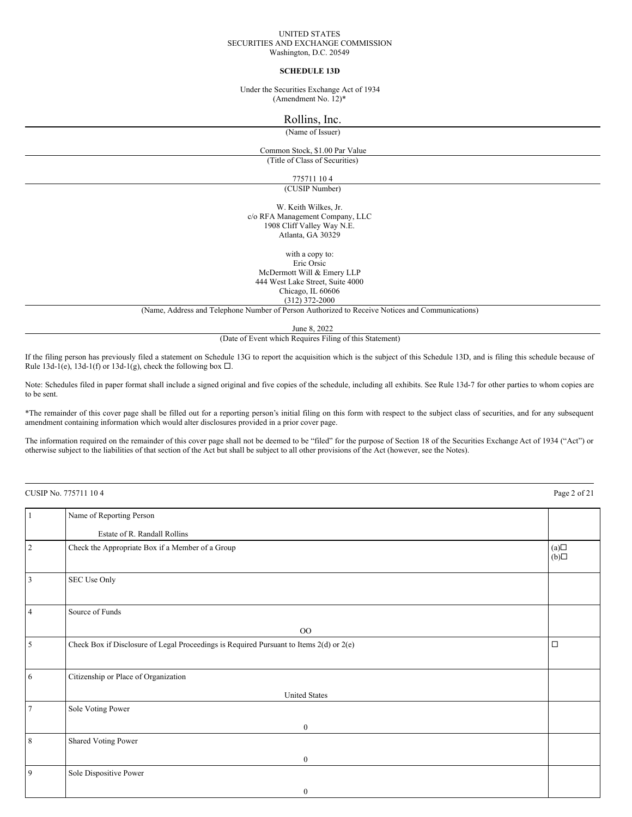#### UNITED STATES SECURITIES AND EXCHANGE COMMISSION Washington, D.C. 20549

### **SCHEDULE 13D**

Under the Securities Exchange Act of 1934 (Amendment No. 12)\*

# Rollins, Inc.

(Name of Issuer)

# Common Stock, \$1.00 Par Value

(Title of Class of Securities)

775711 10 4

(CUSIP Number)

W. Keith Wilkes, Jr. c/o RFA Management Company, LLC 1908 Cliff Valley Way N.E. Atlanta, GA 30329

with a copy to: Eric Orsic McDermott Will & Emery LLP 444 West Lake Street, Suite 4000 Chicago, IL 60606 (312) 372-2000

(Name, Address and Telephone Number of Person Authorized to Receive Notices and Communications)

June 8, 2022

(Date of Event which Requires Filing of this Statement)

If the filing person has previously filed a statement on Schedule 13G to report the acquisition which is the subject of this Schedule 13D, and is filing this schedule because of Rule 13d-1(e), 13d-1(f) or 13d-1(g), check the following box  $\Box$ .

Note: Schedules filed in paper format shall include a signed original and five copies of the schedule, including all exhibits. See Rule 13d-7 for other parties to whom copies are to be sent.

\*The remainder of this cover page shall be filled out for a reporting person's initial filing on this form with respect to the subject class of securities, and for any subsequent amendment containing information which would alter disclosures provided in a prior cover page.

The information required on the remainder of this cover page shall not be deemed to be "filed" for the purpose of Section 18 of the Securities Exchange Act of 1934 ("Act") or otherwise subject to the liabilities of that section of the Act but shall be subject to all other provisions of the Act (however, see the Notes).

CUSIP No. 775711 10 4 Page 2 of 21 1 Name of Reporting Person Estate of R. Randall Rollins 2 Check the Appropriate Box if a Member of a Group  $(a)$   $\Box$  $(b)$ 3 SEC Use Only 4 Source of Funds OO 5 Check Box if Disclosure of Legal Proceedings is Required Pursuant to Items  $2(d)$  or  $2(e)$   $\Box$ 6 Citizenship or Place of Organization United States 7 Sole Voting Power  $\boldsymbol{0}$ 8 Shared Voting Power  $\boldsymbol{0}$ 9 Sole Dispositive Power 0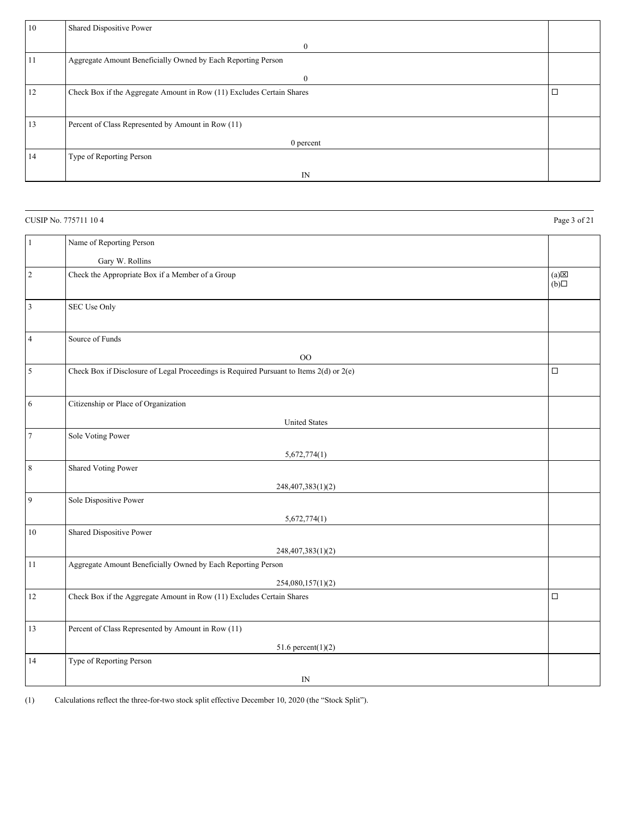| 10 | Shared Dispositive Power                                              |    |
|----|-----------------------------------------------------------------------|----|
|    | $\bf{0}$                                                              |    |
| 11 | Aggregate Amount Beneficially Owned by Each Reporting Person          |    |
|    | $\bf{0}$                                                              |    |
| 12 | Check Box if the Aggregate Amount in Row (11) Excludes Certain Shares | ∣⊏ |
|    |                                                                       |    |
| 13 | Percent of Class Represented by Amount in Row (11)                    |    |
|    | 0 percent                                                             |    |
| 14 | Type of Reporting Person                                              |    |
|    | IN                                                                    |    |

# CUSIP No. 775711 10 4 Page 3 of 21

| $\mathbf{1}$   | Name of Reporting Person                                                                |                        |
|----------------|-----------------------------------------------------------------------------------------|------------------------|
|                |                                                                                         |                        |
|                | Gary W. Rollins                                                                         |                        |
| $\sqrt{2}$     | Check the Appropriate Box if a Member of a Group                                        | $(a) \boxtimes$<br>(b) |
| 3              | SEC Use Only                                                                            |                        |
| $\overline{4}$ | Source of Funds                                                                         |                        |
|                | OO                                                                                      |                        |
| 5              | Check Box if Disclosure of Legal Proceedings is Required Pursuant to Items 2(d) or 2(e) | $\Box$                 |
| 6              | Citizenship or Place of Organization                                                    |                        |
|                | <b>United States</b>                                                                    |                        |
| $\overline{7}$ | Sole Voting Power                                                                       |                        |
|                |                                                                                         |                        |
| 8              | 5,672,774(1)<br>Shared Voting Power                                                     |                        |
|                |                                                                                         |                        |
| 9              | 248,407,383(1)(2)                                                                       |                        |
|                | Sole Dispositive Power                                                                  |                        |
|                | 5,672,774(1)                                                                            |                        |
| 10             | Shared Dispositive Power                                                                |                        |
|                | 248,407,383(1)(2)                                                                       |                        |
| 11             | Aggregate Amount Beneficially Owned by Each Reporting Person                            |                        |
|                | 254,080,157(1)(2)                                                                       |                        |
| 12             | Check Box if the Aggregate Amount in Row (11) Excludes Certain Shares                   | $\Box$                 |
|                |                                                                                         |                        |
| 13             | Percent of Class Represented by Amount in Row (11)                                      |                        |
|                | 51.6 percent $(1)(2)$                                                                   |                        |
| 14             | Type of Reporting Person                                                                |                        |
|                | IN                                                                                      |                        |
|                |                                                                                         |                        |

(1) Calculations reflect the three-for-two stock split effective December 10, 2020 (the "Stock Split").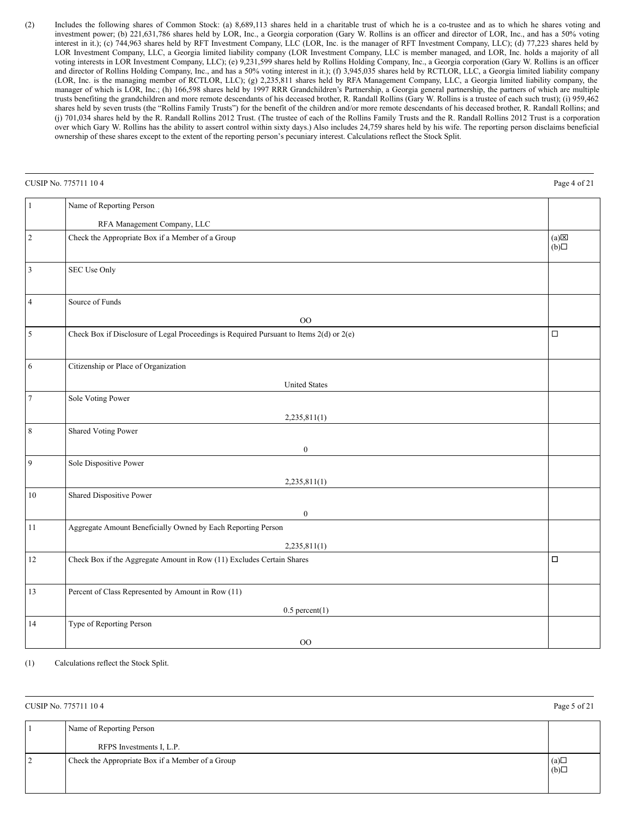(2) Includes the following shares of Common Stock: (a) 8,689,113 shares held in a charitable trust of which he is a co-trustee and as to which he shares voting and investment power; (b) 221,631,786 shares held by LOR, Inc., a Georgia corporation (Gary W. Rollins is an officer and director of LOR, Inc., and has a 50% voting interest in it.); (c) 744,963 shares held by RFT Investment Company, LLC (LOR, Inc. is the manager of RFT Investment Company, LLC); (d) 77,223 shares held by LOR Investment Company, LLC, a Georgia limited liability company (LOR Investment Company, LLC is member managed, and LOR, Inc. holds a majority of all voting interests in LOR Investment Company, LLC); (e) 9,231,599 shares held by Rollins Holding Company, Inc., a Georgia corporation (Gary W. Rollins is an officer and director of Rollins Holding Company, Inc., and has a 50% voting interest in it.); (f) 3,945,035 shares held by RCTLOR, LLC, a Georgia limited liability company (LOR, Inc. is the managing member of RCTLOR, LLC); (g) 2,235,811 shares held by RFA Management Company, LLC, a Georgia limited liability company, the manager of which is LOR, Inc.; (h) 166,598 shares held by 1997 RRR Grandchildren's Partnership, a Georgia general partnership, the partners of which are multiple trusts benefiting the grandchildren and more remote descendants of his deceased brother, R. Randall Rollins (Gary W. Rollins is a trustee of each such trust); (i) 959,462 shares held by seven trusts (the "Rollins Family Trusts") for the benefit of the children and/or more remote descendants of his deceased brother, R. Randall Rollins; and (j) 701,034 shares held by the R. Randall Rollins 2012 Trust. (The trustee of each of the Rollins Family Trusts and the R. Randall Rollins 2012 Trust is a corporation over which Gary W. Rollins has the ability to assert control within sixty days.) Also includes 24,759 shares held by his wife. The reporting person disclaims beneficial ownership of these shares except to the extent of the reporting person's pecuniary interest. Calculations reflect the Stock Split.

|                | CUSIP No. 775711 104                                                                    | Page 4 of 21                        |
|----------------|-----------------------------------------------------------------------------------------|-------------------------------------|
| $\mathbf{1}$   | Name of Reporting Person                                                                |                                     |
|                | RFA Management Company, LLC                                                             |                                     |
| $\sqrt{2}$     | Check the Appropriate Box if a Member of a Group                                        | $(a)$ $\overline{\boxtimes}$<br>(b) |
| 3              | <b>SEC Use Only</b>                                                                     |                                     |
| $\overline{4}$ | Source of Funds                                                                         |                                     |
|                | O <sub>O</sub>                                                                          |                                     |
| $\mathfrak s$  | Check Box if Disclosure of Legal Proceedings is Required Pursuant to Items 2(d) or 2(e) | $\Box$                              |
| 6              | Citizenship or Place of Organization                                                    |                                     |
|                | <b>United States</b>                                                                    |                                     |
| $\overline{7}$ | Sole Voting Power                                                                       |                                     |
|                | 2,235,811(1)                                                                            |                                     |
| $\,$ 8 $\,$    | Shared Voting Power                                                                     |                                     |
|                | $\boldsymbol{0}$                                                                        |                                     |
| 9              | Sole Dispositive Power                                                                  |                                     |
|                | 2,235,811(1)                                                                            |                                     |
| 10             | Shared Dispositive Power                                                                |                                     |
|                | $\boldsymbol{0}$                                                                        |                                     |
| 11             | Aggregate Amount Beneficially Owned by Each Reporting Person                            |                                     |
|                | 2,235,811(1)                                                                            |                                     |
| 12             | Check Box if the Aggregate Amount in Row (11) Excludes Certain Shares                   | $\Box$                              |
| 13             | Percent of Class Represented by Amount in Row (11)                                      |                                     |
|                | $0.5$ percent $(1)$                                                                     |                                     |
| 14             | Type of Reporting Person                                                                |                                     |
|                | $_{\rm OO}$                                                                             |                                     |

(1) Calculations reflect the Stock Split.

CUSIP No. 775711 10 4 Page 5 of 21

| Name of Reporting Person                         |            |
|--------------------------------------------------|------------|
| RFPS Investments I, L.P.                         |            |
| Check the Appropriate Box if a Member of a Group | (a)<br>(b) |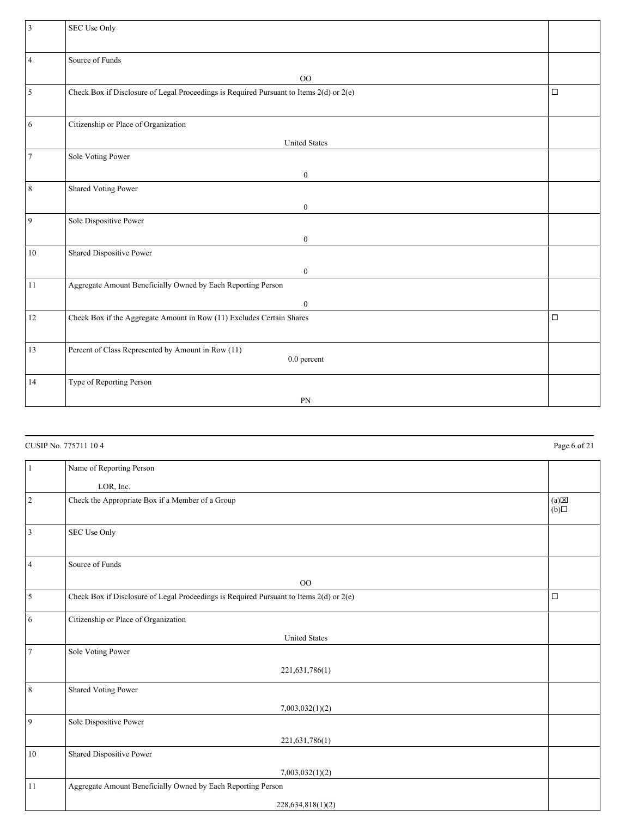| 3              | SEC Use Only                                                                            |        |
|----------------|-----------------------------------------------------------------------------------------|--------|
|                |                                                                                         |        |
|                |                                                                                         |        |
| $\overline{4}$ | Source of Funds                                                                         |        |
|                |                                                                                         |        |
|                | $_{\rm OO}$                                                                             |        |
| $\sqrt{5}$     | Check Box if Disclosure of Legal Proceedings is Required Pursuant to Items 2(d) or 2(e) | $\Box$ |
|                |                                                                                         |        |
|                |                                                                                         |        |
|                |                                                                                         |        |
| 6              | Citizenship or Place of Organization                                                    |        |
|                |                                                                                         |        |
|                | <b>United States</b>                                                                    |        |
| $\overline{7}$ | Sole Voting Power                                                                       |        |
|                |                                                                                         |        |
|                | $\boldsymbol{0}$                                                                        |        |
| $\,$ 8 $\,$    | <b>Shared Voting Power</b>                                                              |        |
|                |                                                                                         |        |
|                | $\boldsymbol{0}$                                                                        |        |
| 9              | Sole Dispositive Power                                                                  |        |
|                |                                                                                         |        |
|                | $\bf{0}$                                                                                |        |
| 10             | Shared Dispositive Power                                                                |        |
|                |                                                                                         |        |
|                | $\boldsymbol{0}$                                                                        |        |
|                |                                                                                         |        |
| 11             | Aggregate Amount Beneficially Owned by Each Reporting Person                            |        |
|                | $\boldsymbol{0}$                                                                        |        |
|                |                                                                                         |        |
| 12             | Check Box if the Aggregate Amount in Row (11) Excludes Certain Shares                   | $\Box$ |
|                |                                                                                         |        |
|                |                                                                                         |        |
| 13             | Percent of Class Represented by Amount in Row (11)                                      |        |
|                | 0.0 percent                                                                             |        |
|                |                                                                                         |        |
| 14             | Type of Reporting Person                                                                |        |
|                |                                                                                         |        |
|                | PN                                                                                      |        |

|                | CUSIP No. 775711 104                                                                    | Page 6 of 21                        |
|----------------|-----------------------------------------------------------------------------------------|-------------------------------------|
| $\mathbf{1}$   | Name of Reporting Person                                                                |                                     |
|                | LOR, Inc.                                                                               |                                     |
| $\sqrt{2}$     | Check the Appropriate Box if a Member of a Group                                        | $(a)$ $\overline{\boxtimes}$<br>(b) |
| $\overline{3}$ | SEC Use Only                                                                            |                                     |
| $\overline{4}$ | Source of Funds                                                                         |                                     |
|                | O <sub>O</sub>                                                                          |                                     |
| $\sqrt{5}$     | Check Box if Disclosure of Legal Proceedings is Required Pursuant to Items 2(d) or 2(e) | $\Box$                              |
| 6              | Citizenship or Place of Organization                                                    |                                     |
|                | <b>United States</b>                                                                    |                                     |
| $\overline{7}$ | Sole Voting Power                                                                       |                                     |
|                | 221,631,786(1)                                                                          |                                     |
| $\,$ 8 $\,$    | <b>Shared Voting Power</b>                                                              |                                     |
|                | 7,003,032(1)(2)                                                                         |                                     |
| $\overline{9}$ | Sole Dispositive Power                                                                  |                                     |
|                | 221,631,786(1)                                                                          |                                     |
| $10\,$         | Shared Dispositive Power                                                                |                                     |
|                | 7,003,032(1)(2)                                                                         |                                     |
| 11             | Aggregate Amount Beneficially Owned by Each Reporting Person                            |                                     |
|                | 228, 634, 818(1)(2)                                                                     |                                     |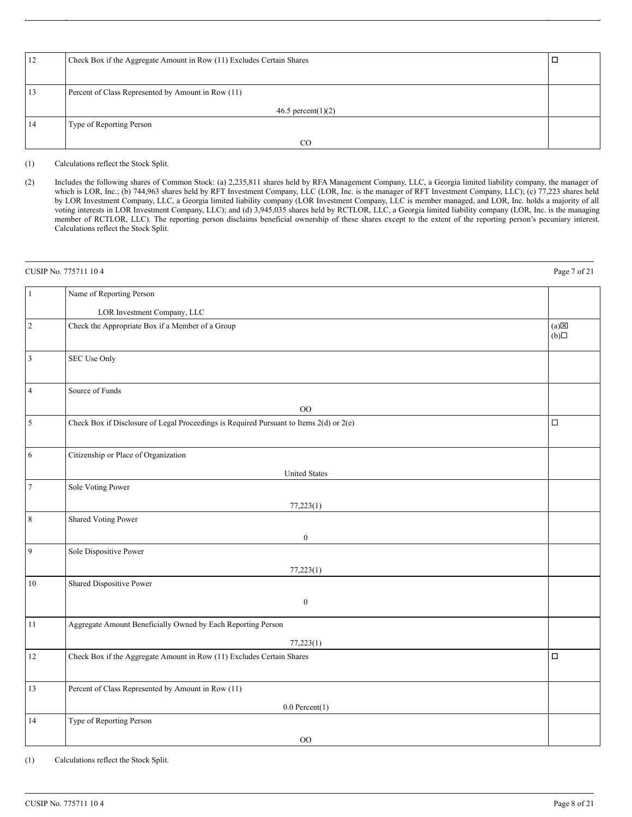| 12 | Check Box if the Aggregate Amount in Row (11) Excludes Certain Shares |  |
|----|-----------------------------------------------------------------------|--|
|    |                                                                       |  |
| 13 | Percent of Class Represented by Amount in Row (11)                    |  |
|    | 46.5 percent(1)(2)                                                    |  |
| 14 | Type of Reporting Person                                              |  |
|    | CO                                                                    |  |

(2) Includes the following shares of Common Stock: (a) 2,235,811 shares held by RFA Management Company, LLC, a Georgia limited liability company, the manager of which is LOR, Inc.; (b) 744,963 shares held by RFT Investment Company, LLC (LOR, Inc. is the manager of RFT Investment Company, LLC); (c) 77,223 shares held by LOR Investment Company, LLC, a Georgia limited liability company (LOR Investment Company, LLC is member managed, and LOR, Inc. holds a majority of all voting interests in LOR Investment Company, LLC); and (d) 3,945,035 shares held by RCTLOR, LLC, a Georgia limited liability company (LOR, Inc. is the managing member of RCTLOR, LLC). The reporting person disclaims beneficial ownership of these shares except to the extent of the reporting person's pecuniary interest. Calculations reflect the Stock Split.

|                | CUSIP No. 775711 104                                                                    | Page 7 of 21        |
|----------------|-----------------------------------------------------------------------------------------|---------------------|
| $\mathbf{1}$   | Name of Reporting Person                                                                |                     |
|                | LOR Investment Company, LLC                                                             |                     |
| $\overline{c}$ | Check the Appropriate Box if a Member of a Group                                        | $(a) \times$<br>(b) |
| 3              | SEC Use Only                                                                            |                     |
| $\overline{4}$ | Source of Funds                                                                         |                     |
|                | O <sub>O</sub>                                                                          |                     |
| 5              | Check Box if Disclosure of Legal Proceedings is Required Pursuant to Items 2(d) or 2(e) | $\Box$              |
| 6              | Citizenship or Place of Organization                                                    |                     |
|                | <b>United States</b>                                                                    |                     |
| $\overline{7}$ | Sole Voting Power                                                                       |                     |
|                | 77,223(1)                                                                               |                     |
| $\,8\,$        | Shared Voting Power                                                                     |                     |
|                | $\boldsymbol{0}$                                                                        |                     |
| 9              | Sole Dispositive Power                                                                  |                     |
|                | 77,223(1)                                                                               |                     |
| 10             | Shared Dispositive Power                                                                |                     |
|                | $\boldsymbol{0}$                                                                        |                     |
| 11             | Aggregate Amount Beneficially Owned by Each Reporting Person                            |                     |
|                | 77,223(1)                                                                               |                     |
| 12             | Check Box if the Aggregate Amount in Row (11) Excludes Certain Shares                   | $\Box$              |
| 13             | Percent of Class Represented by Amount in Row (11)                                      |                     |
|                | $0.0$ Percent $(1)$                                                                     |                     |
| 14             | Type of Reporting Person                                                                |                     |
|                | O <sub>O</sub>                                                                          |                     |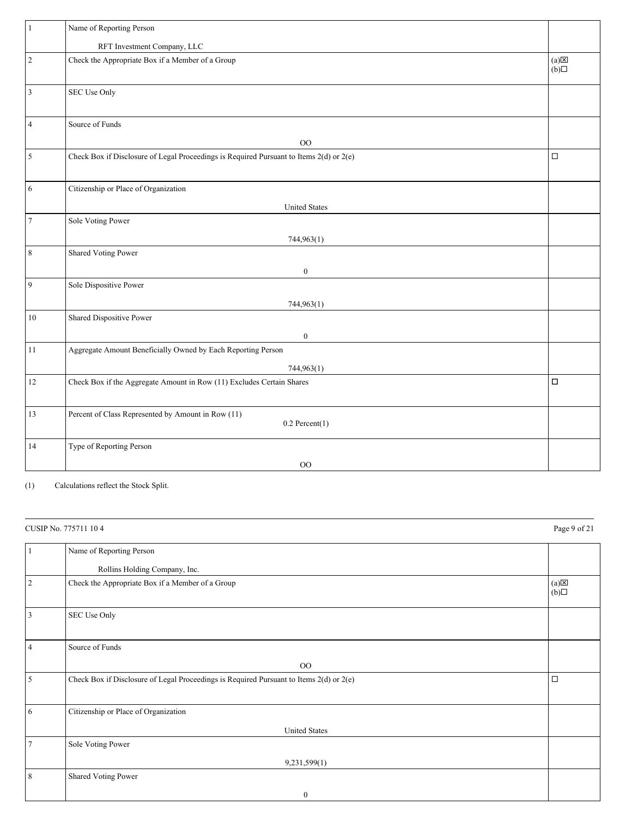| $\mathbf{1}$   | Name of Reporting Person                                                                |                        |
|----------------|-----------------------------------------------------------------------------------------|------------------------|
|                | RFT Investment Company, LLC                                                             |                        |
| $\sqrt{2}$     | Check the Appropriate Box if a Member of a Group                                        | $(a) \boxtimes$<br>(b) |
| $\overline{3}$ | SEC Use Only                                                                            |                        |
| $\overline{4}$ | Source of Funds                                                                         |                        |
|                | O <sub>O</sub>                                                                          |                        |
| 5              | Check Box if Disclosure of Legal Proceedings is Required Pursuant to Items 2(d) or 2(e) | $\Box$                 |
| 6              | Citizenship or Place of Organization                                                    |                        |
|                | <b>United States</b>                                                                    |                        |
| $\overline{7}$ | Sole Voting Power                                                                       |                        |
|                | 744,963(1)                                                                              |                        |
| $\,8\,$        | <b>Shared Voting Power</b>                                                              |                        |
|                | $\boldsymbol{0}$                                                                        |                        |
| 9              | Sole Dispositive Power                                                                  |                        |
|                | 744,963(1)                                                                              |                        |
| 10             | Shared Dispositive Power                                                                |                        |
|                | $\boldsymbol{0}$                                                                        |                        |
| 11             | Aggregate Amount Beneficially Owned by Each Reporting Person                            |                        |
|                | 744,963(1)                                                                              |                        |
| 12             | Check Box if the Aggregate Amount in Row (11) Excludes Certain Shares                   | $\Box$                 |
|                |                                                                                         |                        |
| 13             | Percent of Class Represented by Amount in Row (11)<br>$0.2$ Percent $(1)$               |                        |
| 14             | Type of Reporting Person                                                                |                        |
|                | $\rm{OO}$                                                                               |                        |

|        | CUSIP No. 775711 104                                                                    | Page 9 of 21                         |
|--------|-----------------------------------------------------------------------------------------|--------------------------------------|
|        | Name of Reporting Person                                                                |                                      |
|        | Rollins Holding Company, Inc.                                                           |                                      |
| 2      | Check the Appropriate Box if a Member of a Group                                        | $(a)$ $\overline{\mathbb{X}}$<br>(b) |
| 3      | SEC Use Only                                                                            |                                      |
| 4      | Source of Funds                                                                         |                                      |
|        | O <sub>O</sub>                                                                          |                                      |
| 5      | Check Box if Disclosure of Legal Proceedings is Required Pursuant to Items 2(d) or 2(e) | $\Box$                               |
| 6      | Citizenship or Place of Organization                                                    |                                      |
|        | <b>United States</b>                                                                    |                                      |
| $\tau$ | Sole Voting Power                                                                       |                                      |
|        | 9,231,599(1)                                                                            |                                      |
| 8      | Shared Voting Power                                                                     |                                      |
|        | $\boldsymbol{0}$                                                                        |                                      |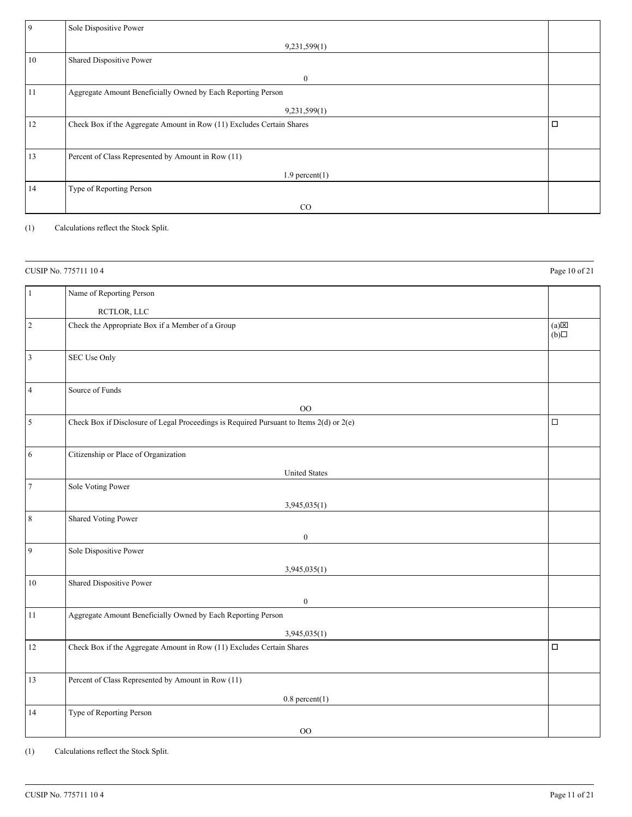| 9  | Sole Dispositive Power                                                |        |
|----|-----------------------------------------------------------------------|--------|
|    | 9,231,599(1)                                                          |        |
| 10 | Shared Dispositive Power                                              |        |
|    | $\boldsymbol{0}$                                                      |        |
| 11 | Aggregate Amount Beneficially Owned by Each Reporting Person          |        |
|    | 9,231,599(1)                                                          |        |
| 12 | Check Box if the Aggregate Amount in Row (11) Excludes Certain Shares | $\Box$ |
|    |                                                                       |        |
| 13 | Percent of Class Represented by Amount in Row (11)                    |        |
|    | $1.9$ percent $(1)$                                                   |        |
| 14 | Type of Reporting Person                                              |        |
|    | $_{\rm CO}$                                                           |        |

|                | CUSIP No. 775711 104                                                                    | Page 10 of 21       |
|----------------|-----------------------------------------------------------------------------------------|---------------------|
| 1              | Name of Reporting Person                                                                |                     |
|                | RCTLOR, LLC                                                                             |                     |
| $\overline{2}$ | Check the Appropriate Box if a Member of a Group                                        | $(a) \times$<br>(b) |
| 3              | <b>SEC Use Only</b>                                                                     |                     |
| $\overline{4}$ | Source of Funds                                                                         |                     |
|                | OO                                                                                      |                     |
| $\sqrt{5}$     | Check Box if Disclosure of Legal Proceedings is Required Pursuant to Items 2(d) or 2(e) | $\Box$              |
| 6              | Citizenship or Place of Organization<br><b>United States</b>                            |                     |
| $\tau$         | Sole Voting Power                                                                       |                     |
|                | 3,945,035(1)                                                                            |                     |
| $\,8\,$        | Shared Voting Power                                                                     |                     |
|                | $\boldsymbol{0}$                                                                        |                     |
| 9              | Sole Dispositive Power                                                                  |                     |
|                | 3,945,035(1)                                                                            |                     |
| 10             | Shared Dispositive Power                                                                |                     |
|                | $\boldsymbol{0}$                                                                        |                     |
| 11             | Aggregate Amount Beneficially Owned by Each Reporting Person                            |                     |
|                | 3,945,035(1)                                                                            |                     |
| 12             | Check Box if the Aggregate Amount in Row (11) Excludes Certain Shares                   | $\Box$              |
| 13             | Percent of Class Represented by Amount in Row (11)                                      |                     |
|                | $0.8$ percent $(1)$                                                                     |                     |
| 14             | Type of Reporting Person                                                                |                     |
|                | OO                                                                                      |                     |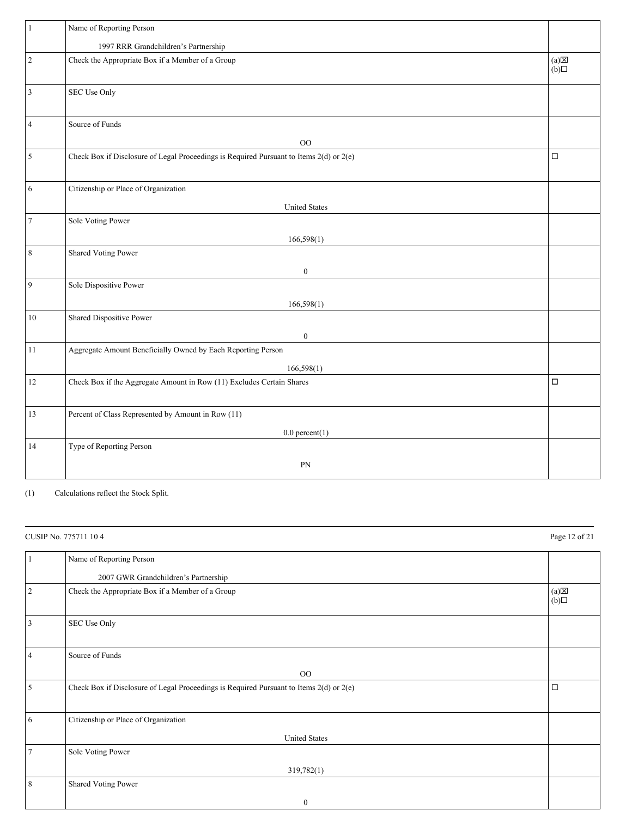| 1              | Name of Reporting Person                                                                |                              |
|----------------|-----------------------------------------------------------------------------------------|------------------------------|
|                | 1997 RRR Grandchildren's Partnership                                                    |                              |
| $\sqrt{2}$     | Check the Appropriate Box if a Member of a Group                                        | $(a) \boxtimes$<br>$\Box(b)$ |
| 3              | SEC Use Only                                                                            |                              |
| $\overline{4}$ | Source of Funds                                                                         |                              |
|                | O <sub>O</sub>                                                                          |                              |
| $\sqrt{5}$     | Check Box if Disclosure of Legal Proceedings is Required Pursuant to Items 2(d) or 2(e) | $\Box$                       |
| 6              | Citizenship or Place of Organization                                                    |                              |
|                | <b>United States</b>                                                                    |                              |
| $\overline{7}$ | Sole Voting Power                                                                       |                              |
|                | 166,598(1)                                                                              |                              |
| $\,$ 8 $\,$    | <b>Shared Voting Power</b>                                                              |                              |
|                | $\boldsymbol{0}$                                                                        |                              |
| 9              | Sole Dispositive Power                                                                  |                              |
|                | 166,598(1)                                                                              |                              |
| 10             | Shared Dispositive Power                                                                |                              |
|                | $\boldsymbol{0}$                                                                        |                              |
| 11             | Aggregate Amount Beneficially Owned by Each Reporting Person                            |                              |
|                | 166,598(1)                                                                              |                              |
| 12             | Check Box if the Aggregate Amount in Row (11) Excludes Certain Shares                   | П                            |
|                |                                                                                         |                              |
| 13             | Percent of Class Represented by Amount in Row (11)                                      |                              |
|                | $0.0$ percent $(1)$                                                                     |                              |
| 14             | Type of Reporting Person                                                                |                              |
|                | PN                                                                                      |                              |
|                |                                                                                         |                              |

| CUSIP No. 775711 104 |                                                                                         | Page 12 of 21                        |
|----------------------|-----------------------------------------------------------------------------------------|--------------------------------------|
|                      | Name of Reporting Person                                                                |                                      |
|                      | 2007 GWR Grandchildren's Partnership                                                    |                                      |
| 2                    | Check the Appropriate Box if a Member of a Group                                        | $(a)$ $\overline{\mathbb{X}}$<br>(b) |
| 3                    | SEC Use Only                                                                            |                                      |
| $\overline{4}$       | Source of Funds                                                                         |                                      |
|                      | O <sub>O</sub>                                                                          |                                      |
| 5                    | Check Box if Disclosure of Legal Proceedings is Required Pursuant to Items 2(d) or 2(e) | $\Box$                               |
| 6                    | Citizenship or Place of Organization                                                    |                                      |
|                      | <b>United States</b>                                                                    |                                      |
| 7                    | Sole Voting Power                                                                       |                                      |
|                      | 319,782(1)                                                                              |                                      |
| 8                    | Shared Voting Power                                                                     |                                      |
|                      | $\boldsymbol{0}$                                                                        |                                      |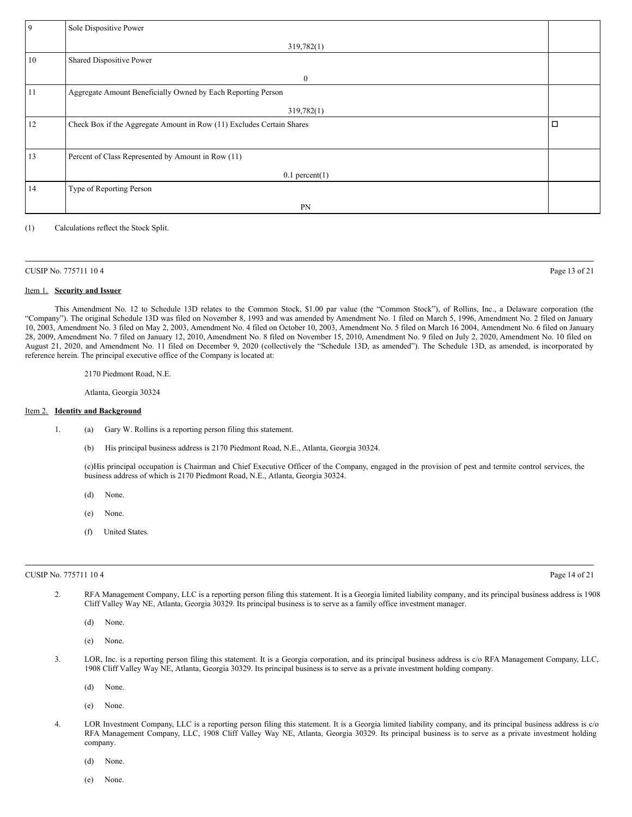| 9  | Sole Dispositive Power                                                |        |
|----|-----------------------------------------------------------------------|--------|
|    | 319,782(1)                                                            |        |
| 10 | Shared Dispositive Power                                              |        |
|    | $\boldsymbol{0}$                                                      |        |
| 11 | Aggregate Amount Beneficially Owned by Each Reporting Person          |        |
|    | 319,782(1)                                                            |        |
| 12 | Check Box if the Aggregate Amount in Row (11) Excludes Certain Shares | $\Box$ |
|    |                                                                       |        |
| 13 | Percent of Class Represented by Amount in Row (11)                    |        |
|    | $0.1$ percent $(1)$                                                   |        |
| 14 | Type of Reporting Person                                              |        |
|    | PN                                                                    |        |

| CUSIP No. 775711 104 | Page 13 of 21 |
|----------------------|---------------|
|----------------------|---------------|

#### Item 1. **Security and Issuer**

This Amendment No. 12 to Schedule 13D relates to the Common Stock, \$1.00 par value (the "Common Stock"), of Rollins, Inc., a Delaware corporation (the "Company"). The original Schedule 13D was filed on November 8, 1993 and was amended by Amendment No. 1 filed on March 5, 1996, Amendment No. 2 filed on January 10, 2003, Amendment No. 3 filed on May 2, 2003, Amendment No. 4 filed on October 10, 2003, Amendment No. 5 filed on March 16 2004, Amendment No. 6 filed on January 28, 2009, Amendment No. 7 filed on January 12, 2010, Amendment No. 8 filed on November 15, 2010, Amendment No. 9 filed on July 2, 2020, Amendment No. 10 filed on August 21, 2020, and Amendment No. 11 filed on December 9, 2020 (collectively the "Schedule 13D, as amended"). The Schedule 13D, as amended, is incorporated by reference herein. The principal executive office of the Company is located at:

2170 Piedmont Road, N.E.

Atlanta, Georgia 30324

## Item 2. **Identity and Background**

- 1. (a) Gary W. Rollins is a reporting person filing this statement.
	- (b) His principal business address is 2170 Piedmont Road, N.E., Atlanta, Georgia 30324.

(c)His principal occupation is Chairman and Chief Executive Officer of the Company, engaged in the provision of pest and termite control services, the business address of which is 2170 Piedmont Road, N.E., Atlanta, Georgia 30324.

- (d) None.
- (e) None.
- (f) United States.

#### CUSIP No. 775711 10 4 Page 14 of 21

2. RFA Management Company, LLC is a reporting person filing this statement. It is a Georgia limited liability company, and its principal business address is 1908 Cliff Valley Way NE, Atlanta, Georgia 30329. Its principal business is to serve as a family office investment manager.

(d) None.

- (e) None.
- 3. LOR, Inc. is a reporting person filing this statement. It is a Georgia corporation, and its principal business address is c/o RFA Management Company, LLC, 1908 Cliff Valley Way NE, Atlanta, Georgia 30329. Its principal business is to serve as a private investment holding company.
	- (d) None.
	- (e) None.
- 4. LOR Investment Company, LLC is a reporting person filing this statement. It is a Georgia limited liability company, and its principal business address is c/o RFA Management Company, LLC, 1908 Cliff Valley Way NE, Atlanta, Georgia 30329. Its principal business is to serve as a private investment holding company.
	- (d) None.
	- (e) None.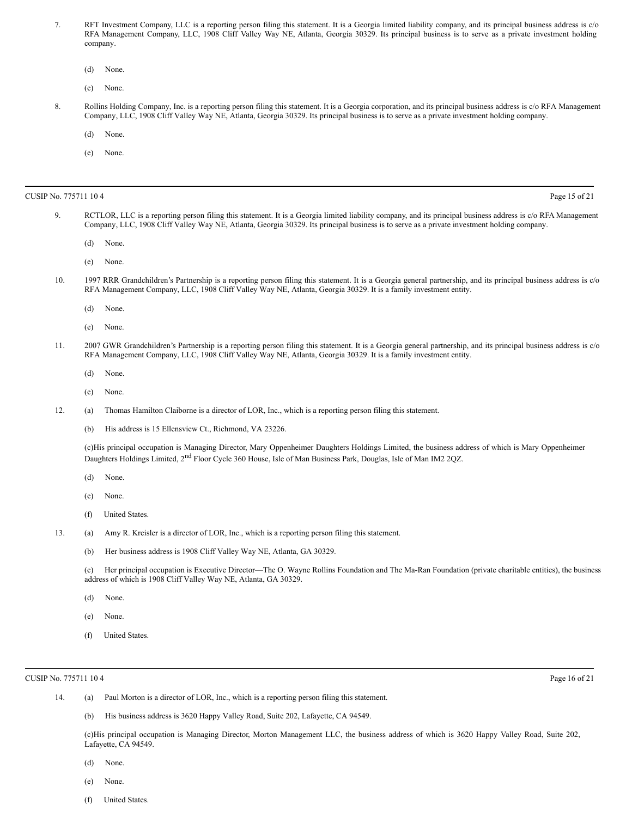- 7. RFT Investment Company, LLC is a reporting person filing this statement. It is a Georgia limited liability company, and its principal business address is c/o RFA Management Company, LLC, 1908 Cliff Valley Way NE, Atlanta, Georgia 30329. Its principal business is to serve as a private investment holding company.
	- (d) None.
	- (e) None.
- 8. Rollins Holding Company, Inc. is a reporting person filing this statement. It is a Georgia corporation, and its principal business address is c/o RFA Management Company, LLC, 1908 Cliff Valley Way NE, Atlanta, Georgia 30329. Its principal business is to serve as a private investment holding company.
	- (d) None.
	- (e) None.

#### CUSIP No. 775711 10 4 Page 15 of 21

- 9. RCTLOR, LLC is a reporting person filing this statement. It is a Georgia limited liability company, and its principal business address is c/o RFA Management Company, LLC, 1908 Cliff Valley Way NE, Atlanta, Georgia 30329. Its principal business is to serve as a private investment holding company.
	- (d) None.
	- (e) None.
- 10. 1997 RRR Grandchildren's Partnership is a reporting person filing this statement. It is a Georgia general partnership, and its principal business address is c/o RFA Management Company, LLC, 1908 Cliff Valley Way NE, Atlanta, Georgia 30329. It is a family investment entity.
	- (d) None.
	- (e) None.
- 11. 2007 GWR Grandchildren's Partnership is a reporting person filing this statement. It is a Georgia general partnership, and its principal business address is c/o RFA Management Company, LLC, 1908 Cliff Valley Way NE, Atlanta, Georgia 30329. It is a family investment entity.
	- (d) None.
	- (e) None.
- 12. (a) Thomas Hamilton Claiborne is a director of LOR, Inc., which is a reporting person filing this statement.
	- (b) His address is 15 Ellensview Ct., Richmond, VA 23226.

(c)His principal occupation is Managing Director, Mary Oppenheimer Daughters Holdings Limited, the business address of which is Mary Oppenheimer Daughters Holdings Limited, 2<sup>nd</sup> Floor Cycle 360 House, Isle of Man Business Park, Douglas, Isle of Man IM2 2QZ.

- (d) None.
- (e) None.
- (f) United States.
- 13. (a) Amy R. Kreisler is a director of LOR, Inc., which is a reporting person filing this statement.
	- (b) Her business address is 1908 Cliff Valley Way NE, Atlanta, GA 30329.

(c) Her principal occupation is Executive Director—The O. Wayne Rollins Foundation and The Ma-Ran Foundation (private charitable entities), the business address of which is 1908 Cliff Valley Way NE, Atlanta, GA 30329.

- (d) None.
- (e) None.
- (f) United States.

#### CUSIP No. 775711 10 4 Page 16 of 21

- 14. (a) Paul Morton is a director of LOR, Inc., which is a reporting person filing this statement.
	- (b) His business address is 3620 Happy Valley Road, Suite 202, Lafayette, CA 94549.

(c)His principal occupation is Managing Director, Morton Management LLC, the business address of which is 3620 Happy Valley Road, Suite 202, Lafayette, CA 94549.

- (d) None.
- (e) None.
- (f) United States.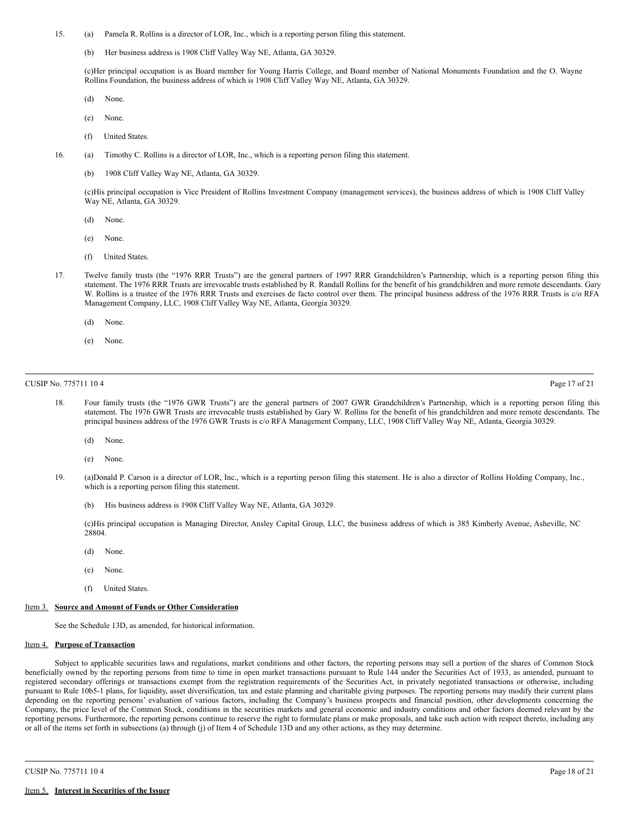- 15. (a) Pamela R. Rollins is a director of LOR, Inc., which is a reporting person filing this statement.
	- (b) Her business address is 1908 Cliff Valley Way NE, Atlanta, GA 30329.

(c)Her principal occupation is as Board member for Young Harris College, and Board member of National Monuments Foundation and the O. Wayne Rollins Foundation, the business address of which is 1908 Cliff Valley Way NE, Atlanta, GA 30329.

- (d) None.
- (e) None.
- (f) United States.
- 16. (a) Timothy C. Rollins is a director of LOR, Inc., which is a reporting person filing this statement.
	- (b) 1908 Cliff Valley Way NE, Atlanta, GA 30329.

(c)His principal occupation is Vice President of Rollins Investment Company (management services), the business address of which is 1908 Cliff Valley Way NE, Atlanta, GA 30329.

- (d) None.
- (e) None.
- (f) United States.
- 17. Twelve family trusts (the "1976 RRR Trusts") are the general partners of 1997 RRR Grandchildren's Partnership, which is a reporting person filing this statement. The 1976 RRR Trusts are irrevocable trusts established by R. Randall Rollins for the benefit of his grandchildren and more remote descendants. Gary W. Rollins is a trustee of the 1976 RRR Trusts and exercises de facto control over them. The principal business address of the 1976 RRR Trusts is c/o RFA Management Company, LLC, 1908 Cliff Valley Way NE, Atlanta, Georgia 30329.
	- (d) None.
	- (e) None.

## CUSIP No. 775711 10 4 Page 17 of 21

- 18. Four family trusts (the "1976 GWR Trusts") are the general partners of 2007 GWR Grandchildren's Partnership, which is a reporting person filing this statement. The 1976 GWR Trusts are irrevocable trusts established by Gary W. Rollins for the benefit of his grandchildren and more remote descendants. The principal business address of the 1976 GWR Trusts is c/o RFA Management Company, LLC, 1908 Cliff Valley Way NE, Atlanta, Georgia 30329.
	- (d) None.
	- (e) None.
- 19. (a)Donald P. Carson is a director of LOR, Inc., which is a reporting person filing this statement. He is also a director of Rollins Holding Company, Inc., which is a reporting person filing this statement.
	- (b) His business address is 1908 Cliff Valley Way NE, Atlanta, GA 30329.

(c)His principal occupation is Managing Director, Ansley Capital Group, LLC, the business address of which is 385 Kimberly Avenue, Asheville, NC 28804.

- (d) None.
- (e) None.
- (f) United States.

# Item 3. **Source and Amount of Funds or Other Consideration**

See the Schedule 13D, as amended, for historical information.

### Item 4. **Purpose of Transaction**

Subject to applicable securities laws and regulations, market conditions and other factors, the reporting persons may sell a portion of the shares of Common Stock beneficially owned by the reporting persons from time to time in open market transactions pursuant to Rule 144 under the Securities Act of 1933, as amended, pursuant to registered secondary offerings or transactions exempt from the registration requirements of the Securities Act, in privately negotiated transactions or otherwise, including pursuant to Rule 10b5-1 plans, for liquidity, asset diversification, tax and estate planning and charitable giving purposes. The reporting persons may modify their current plans depending on the reporting persons' evaluation of various factors, including the Company's business prospects and financial position, other developments concerning the Company, the price level of the Common Stock, conditions in the securities markets and general economic and industry conditions and other factors deemed relevant by the reporting persons. Furthermore, the reporting persons continue to reserve the right to formulate plans or make proposals, and take such action with respect thereto, including any or all of the items set forth in subsections (a) through (j) of Item 4 of Schedule 13D and any other actions, as they may determine.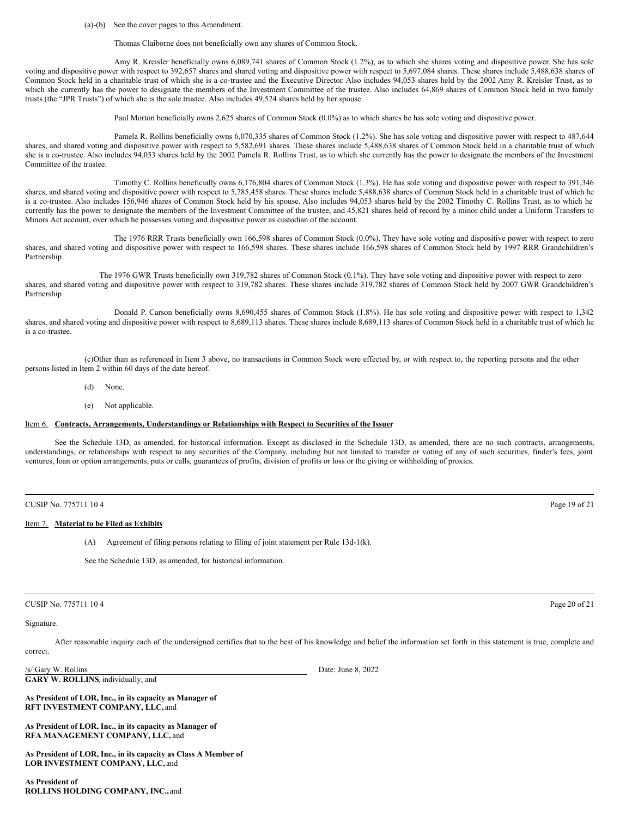(a)-(b) See the cover pages to this Amendment.

Thomas Claiborne does not beneficially own any shares of Common Stock.

Amy R. Kreisler beneficially owns 6,089,741 shares of Common Stock (1.2%), as to which she shares voting and dispositive power. She has sole voting and dispositive power with respect to 392,657 shares and shared voting and dispositive power with respect to 5,697,084 shares. These shares include 5,488,638 shares of Common Stock held in a charitable trust of which she is a co-trustee and the Executive Director. Also includes 94,053 shares held by the 2002 Amy R. Kreisler Trust, as to which she currently has the power to designate the members of the Investment Committee of the trustee. Also includes 64,869 shares of Common Stock held in two family trusts (the "JPR Trusts") of which she is the sole trustee. Also includes 49,524 shares held by her spouse.

Paul Morton beneficially owns 2,625 shares of Common Stock (0.0%) as to which shares he has sole voting and dispositive power.

Pamela R. Rollins beneficially owns 6,070,335 shares of Common Stock (1.2%). She has sole voting and dispositive power with respect to 487,644 shares, and shared voting and dispositive power with respect to 5,582,691 shares. These shares include 5,488,638 shares of Common Stock held in a charitable trust of which she is a co-trustee. Also includes 94,053 shares held by the 2002 Pamela R. Rollins Trust, as to which she currently has the power to designate the members of the Investment Committee of the trustee.

Timothy C. Rollins beneficially owns 6,176,804 shares of Common Stock (1.3%). He has sole voting and dispositive power with respect to 391,346 shares, and shared voting and dispositive power with respect to 5,785,458 shares. These shares include 5,488,638 shares of Common Stock held in a charitable trust of which he is a co-trustee. Also includes 156,946 shares of Common Stock held by his spouse. Also includes 94,053 shares held by the 2002 Timothy C. Rollins Trust, as to which he currently has the power to designate the members of the Investment Committee of the trustee, and 45,821 shares held of record by a minor child under a Uniform Transfers to Minors Act account, over which he possesses voting and dispositive power as custodian of the account.

The 1976 RRR Trusts beneficially own 166,598 shares of Common Stock (0.0%). They have sole voting and dispositive power with respect to zero shares, and shared voting and dispositive power with respect to 166,598 shares. These shares include 166,598 shares of Common Stock held by 1997 RRR Grandchildren's Partnership.

The 1976 GWR Trusts beneficially own 319,782 shares of Common Stock (0.1%). They have sole voting and dispositive power with respect to zero shares, and shared voting and dispositive power with respect to 319,782 shares. These shares include 319,782 shares of Common Stock held by 2007 GWR Grandchildren's Partnership.

Donald P. Carson beneficially owns 8,690,455 shares of Common Stock (1.8%). He has sole voting and dispositive power with respect to 1,342 shares, and shared voting and dispositive power with respect to 8,689,113 shares. These shares include 8,689,113 shares of Common Stock held in a charitable trust of which he is a co-trustee.

(c)Other than as referenced in Item 3 above, no transactions in Common Stock were effected by, or with respect to, the reporting persons and the other persons listed in Item 2 within 60 days of the date hereof.

- (d) None.
- (e) Not applicable.

## Item 6. **Contracts, Arrangements, Understandings or Relationships with Respect to Securities of the Issuer**

See the Schedule 13D, as amended, for historical information. Except as disclosed in the Schedule 13D, as amended, there are no such contracts, arrangements, understandings, or relationships with respect to any securities of the Company, including but not limited to transfer or voting of any of such securities, finder's fees, joint ventures, loan or option arrangements, puts or calls, guarantees of profits, division of profits or loss or the giving or withholding of proxies.

# Item 7. **Material to be Filed as Exhibits**

(A) Agreement of filing persons relating to filing of joint statement per Rule 13d-1(k).

See the Schedule 13D, as amended, for historical information.

## CUSIP No. 775711 10 4 Page 20 of 21

## Signature.

After reasonable inquiry each of the undersigned certifies that to the best of his knowledge and belief the information set forth in this statement is true, complete and correct.

/s/ Gary W. Rollins Date: June 8, 2022 **GARY W. ROLLINS**, individually, and

**As President of LOR, Inc., in its capacity as Manager of RFT INVESTMENT COMPANY, LLC,** and

**As President of LOR, Inc., in its capacity as Manager of RFA MANAGEMENT COMPANY, LLC,** and

**As President of LOR, Inc., in its capacity as Class A Member of LOR INVESTMENT COMPANY, LLC,** and

**As President of ROLLINS HOLDING COMPANY, INC.,** and